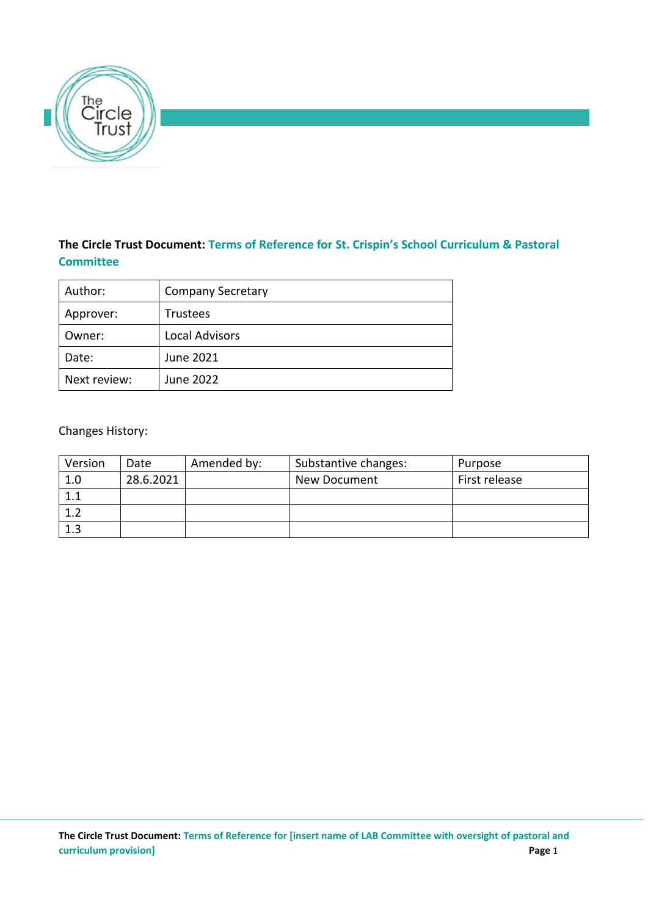

# **The Circle Trust Document: Terms of Reference for St. Crispin's School Curriculum & Pastoral Committee**

| Author:      | <b>Company Secretary</b> |  |  |
|--------------|--------------------------|--|--|
| Approver:    | Trustees                 |  |  |
| Owner:       | <b>Local Advisors</b>    |  |  |
| Date:        | June 2021                |  |  |
| Next review: | June 2022                |  |  |

Changes History:

| Version | Date      | Amended by: | Substantive changes: | Purpose       |
|---------|-----------|-------------|----------------------|---------------|
| 1.0     | 28.6.2021 |             | New Document         | First release |
| 1.1     |           |             |                      |               |
| 1.2     |           |             |                      |               |
| 1.3     |           |             |                      |               |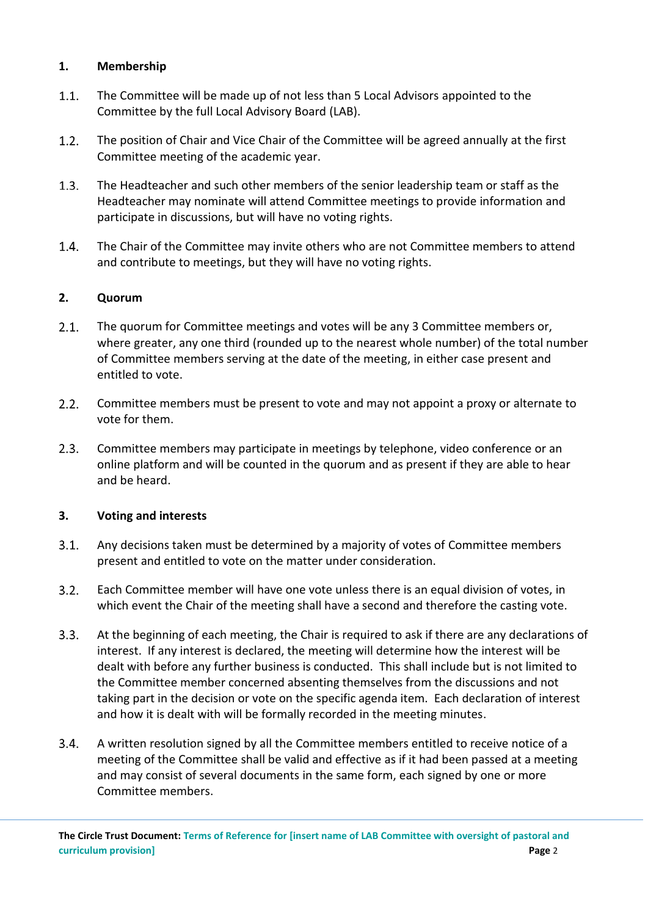## **1. Membership**

- The Committee will be made up of not less than 5 Local Advisors appointed to the  $1.1.$ Committee by the full Local Advisory Board (LAB).
- $1.2.$ The position of Chair and Vice Chair of the Committee will be agreed annually at the first Committee meeting of the academic year.
- $1.3.$ The Headteacher and such other members of the senior leadership team or staff as the Headteacher may nominate will attend Committee meetings to provide information and participate in discussions, but will have no voting rights.
- $1.4.$ The Chair of the Committee may invite others who are not Committee members to attend and contribute to meetings, but they will have no voting rights.

## **2. Quorum**

- $2.1.$ The quorum for Committee meetings and votes will be any 3 Committee members or, where greater, any one third (rounded up to the nearest whole number) of the total number of Committee members serving at the date of the meeting, in either case present and entitled to vote.
- $2.2.$ Committee members must be present to vote and may not appoint a proxy or alternate to vote for them.
- $2.3.$ Committee members may participate in meetings by telephone, video conference or an online platform and will be counted in the quorum and as present if they are able to hear and be heard.

#### **3. Voting and interests**

- $3.1.$ Any decisions taken must be determined by a majority of votes of Committee members present and entitled to vote on the matter under consideration.
- $3.2.$ Each Committee member will have one vote unless there is an equal division of votes, in which event the Chair of the meeting shall have a second and therefore the casting vote.
- $3.3.$ At the beginning of each meeting, the Chair is required to ask if there are any declarations of interest. If any interest is declared, the meeting will determine how the interest will be dealt with before any further business is conducted. This shall include but is not limited to the Committee member concerned absenting themselves from the discussions and not taking part in the decision or vote on the specific agenda item. Each declaration of interest and how it is dealt with will be formally recorded in the meeting minutes.
- $3.4.$ A written resolution signed by all the Committee members entitled to receive notice of a meeting of the Committee shall be valid and effective as if it had been passed at a meeting and may consist of several documents in the same form, each signed by one or more Committee members.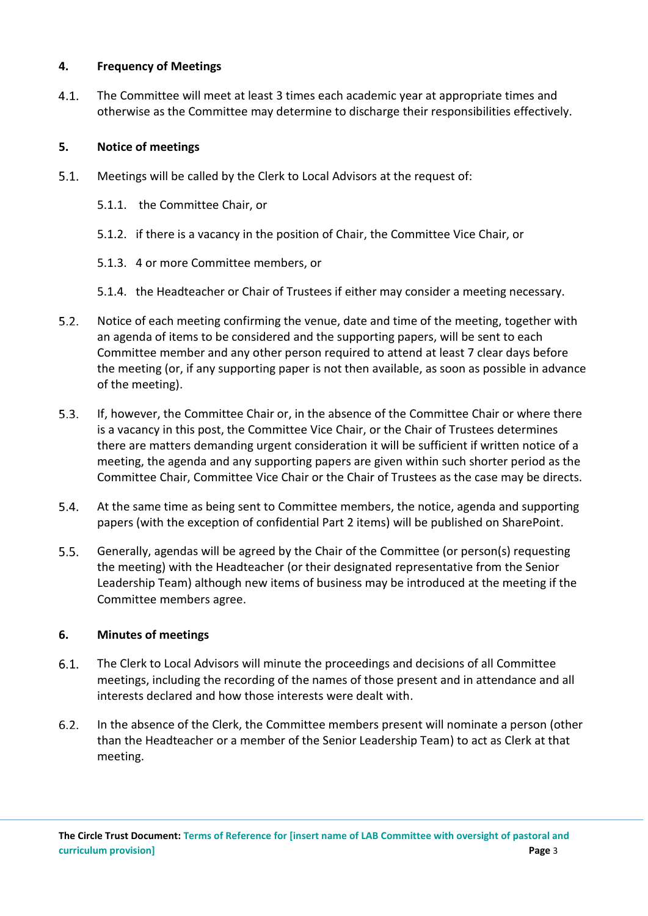#### **4. Frequency of Meetings**

 $4.1.$ The Committee will meet at least 3 times each academic year at appropriate times and otherwise as the Committee may determine to discharge their responsibilities effectively.

#### **5. Notice of meetings**

- $5.1.$ Meetings will be called by the Clerk to Local Advisors at the request of:
	- 5.1.1. the Committee Chair, or
	- 5.1.2. if there is a vacancy in the position of Chair, the Committee Vice Chair, or
	- 5.1.3. 4 or more Committee members, or
	- 5.1.4. the Headteacher or Chair of Trustees if either may consider a meeting necessary.
- $5.2.$ Notice of each meeting confirming the venue, date and time of the meeting, together with an agenda of items to be considered and the supporting papers, will be sent to each Committee member and any other person required to attend at least 7 clear days before the meeting (or, if any supporting paper is not then available, as soon as possible in advance of the meeting).
- $5.3.$ If, however, the Committee Chair or, in the absence of the Committee Chair or where there is a vacancy in this post, the Committee Vice Chair, or the Chair of Trustees determines there are matters demanding urgent consideration it will be sufficient if written notice of a meeting, the agenda and any supporting papers are given within such shorter period as the Committee Chair, Committee Vice Chair or the Chair of Trustees as the case may be directs.
- $5.4.$ At the same time as being sent to Committee members, the notice, agenda and supporting papers (with the exception of confidential Part 2 items) will be published on SharePoint.
- $5.5.$ Generally, agendas will be agreed by the Chair of the Committee (or person(s) requesting the meeting) with the Headteacher (or their designated representative from the Senior Leadership Team) although new items of business may be introduced at the meeting if the Committee members agree.

#### **6. Minutes of meetings**

- $6.1.$ The Clerk to Local Advisors will minute the proceedings and decisions of all Committee meetings, including the recording of the names of those present and in attendance and all interests declared and how those interests were dealt with.
- $6.2.$ In the absence of the Clerk, the Committee members present will nominate a person (other than the Headteacher or a member of the Senior Leadership Team) to act as Clerk at that meeting.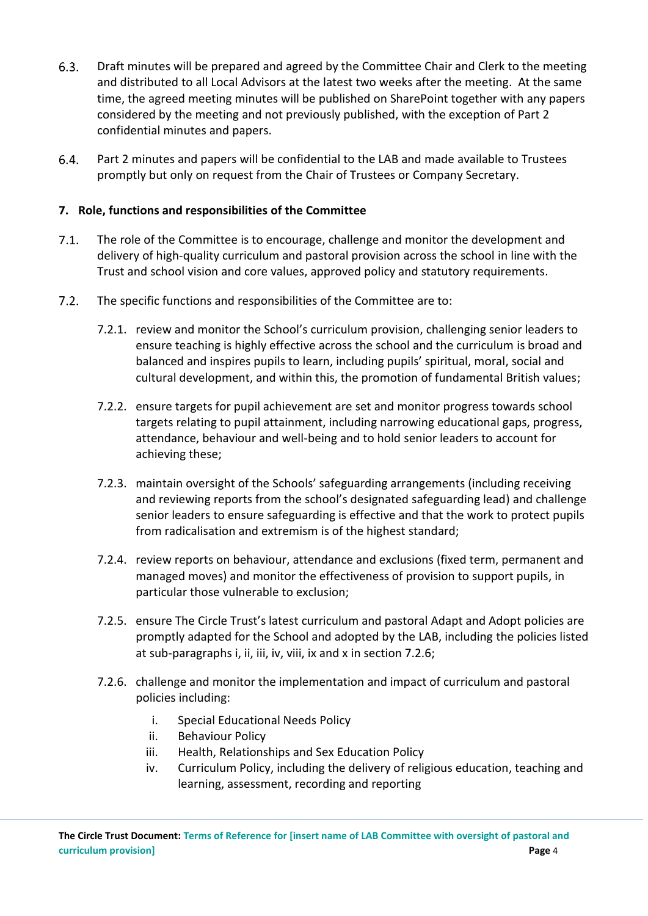- $6.3.$ Draft minutes will be prepared and agreed by the Committee Chair and Clerk to the meeting and distributed to all Local Advisors at the latest two weeks after the meeting. At the same time, the agreed meeting minutes will be published on SharePoint together with any papers considered by the meeting and not previously published, with the exception of Part 2 confidential minutes and papers.
- $6.4.$ Part 2 minutes and papers will be confidential to the LAB and made available to Trustees promptly but only on request from the Chair of Trustees or Company Secretary.

## **7. Role, functions and responsibilities of the Committee**

- The role of the Committee is to encourage, challenge and monitor the development and  $7.1.$ delivery of high-quality curriculum and pastoral provision across the school in line with the Trust and school vision and core values, approved policy and statutory requirements.
- $7.2.$ The specific functions and responsibilities of the Committee are to:
	- 7.2.1. review and monitor the School's curriculum provision, challenging senior leaders to ensure teaching is highly effective across the school and the curriculum is broad and balanced and inspires pupils to learn, including pupils' spiritual, moral, social and cultural development, and within this, the promotion of fundamental British values;
	- 7.2.2. ensure targets for pupil achievement are set and monitor progress towards school targets relating to pupil attainment, including narrowing educational gaps, progress, attendance, behaviour and well-being and to hold senior leaders to account for achieving these;
	- 7.2.3. maintain oversight of the Schools' safeguarding arrangements (including receiving and reviewing reports from the school's designated safeguarding lead) and challenge senior leaders to ensure safeguarding is effective and that the work to protect pupils from radicalisation and extremism is of the highest standard;
	- 7.2.4. review reports on behaviour, attendance and exclusions (fixed term, permanent and managed moves) and monitor the effectiveness of provision to support pupils, in particular those vulnerable to exclusion;
	- 7.2.5. ensure The Circle Trust's latest curriculum and pastoral Adapt and Adopt policies are promptly adapted for the School and adopted by the LAB, including the policies listed at sub-paragraphs i, ii, iii, iv, viii, ix and x in section 7.2.6;
	- 7.2.6. challenge and monitor the implementation and impact of curriculum and pastoral policies including:
		- i. Special Educational Needs Policy
		- ii. Behaviour Policy
		- iii. Health, Relationships and Sex Education Policy
		- iv. Curriculum Policy, including the delivery of religious education, teaching and learning, assessment, recording and reporting